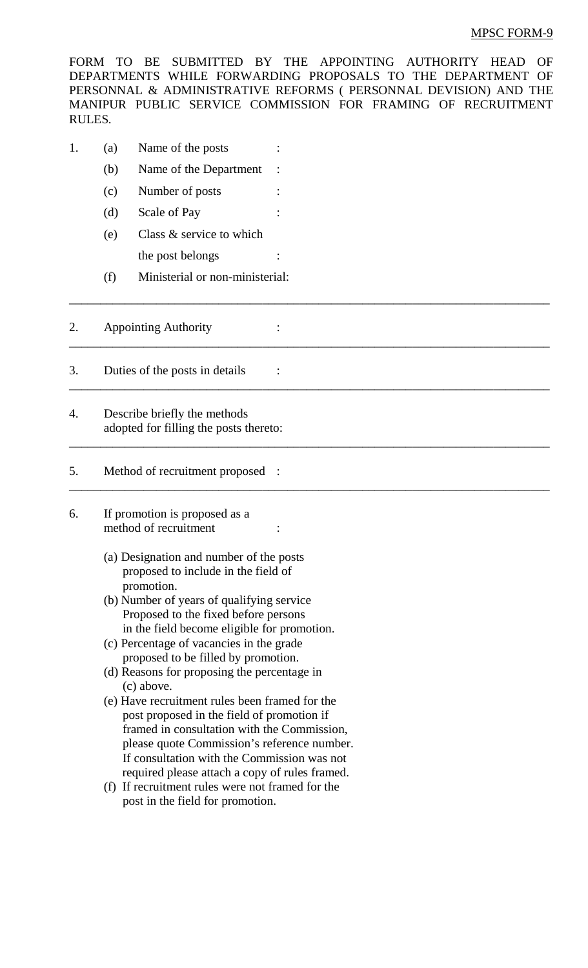## MPSC FORM-9

FORM TO BE SUBMITTED BY THE APPOINTING AUTHORITY HEAD OF DEPARTMENTS WHILE FORWARDING PROPOSALS TO THE DEPARTMENT OF PERSONNAL & ADMINISTRATIVE REFORMS ( PERSONNAL DEVISION) AND THE MANIPUR PUBLIC SERVICE COMMISSION FOR FRAMING OF RECRUITMENT RULES.

\_\_\_\_\_\_\_\_\_\_\_\_\_\_\_\_\_\_\_\_\_\_\_\_\_\_\_\_\_\_\_\_\_\_\_\_\_\_\_\_\_\_\_\_\_\_\_\_\_\_\_\_\_\_\_\_\_\_\_\_\_\_\_\_\_\_\_\_\_\_\_\_\_\_\_\_\_

\_\_\_\_\_\_\_\_\_\_\_\_\_\_\_\_\_\_\_\_\_\_\_\_\_\_\_\_\_\_\_\_\_\_\_\_\_\_\_\_\_\_\_\_\_\_\_\_\_\_\_\_\_\_\_\_\_\_\_\_\_\_\_\_\_\_\_\_\_\_\_\_\_\_\_\_\_

\_\_\_\_\_\_\_\_\_\_\_\_\_\_\_\_\_\_\_\_\_\_\_\_\_\_\_\_\_\_\_\_\_\_\_\_\_\_\_\_\_\_\_\_\_\_\_\_\_\_\_\_\_\_\_\_\_\_\_\_\_\_\_\_\_\_\_\_\_\_\_\_\_\_\_\_\_

\_\_\_\_\_\_\_\_\_\_\_\_\_\_\_\_\_\_\_\_\_\_\_\_\_\_\_\_\_\_\_\_\_\_\_\_\_\_\_\_\_\_\_\_\_\_\_\_\_\_\_\_\_\_\_\_\_\_\_\_\_\_\_\_\_\_\_\_\_\_\_\_\_\_\_\_\_

\_\_\_\_\_\_\_\_\_\_\_\_\_\_\_\_\_\_\_\_\_\_\_\_\_\_\_\_\_\_\_\_\_\_\_\_\_\_\_\_\_\_\_\_\_\_\_\_\_\_\_\_\_\_\_\_\_\_\_\_\_\_\_\_\_\_\_\_\_\_\_\_\_\_\_\_\_

- 1. (a) Name of the posts :
	- (b) Name of the Department :
	- (c) Number of posts :
	- (d) Scale of Pay
	- (e) Class & service to which the post belongs
	- (f) Ministerial or non-ministerial:

## 2. Appointing Authority :

- 3. Duties of the posts in details :
- 4. Describe briefly the methods adopted for filling the posts thereto:

## 5. Method of recruitment proposed :

- 6. If promotion is proposed as a method of recruitment
	- (a) Designation and number of the posts proposed to include in the field of promotion.
	- (b) Number of years of qualifying service Proposed to the fixed before persons in the field become eligible for promotion.
	- (c) Percentage of vacancies in the grade proposed to be filled by promotion.
	- (d) Reasons for proposing the percentage in (c) above.
	- (e) Have recruitment rules been framed for the post proposed in the field of promotion if framed in consultation with the Commission, please quote Commission's reference number. If consultation with the Commission was not required please attach a copy of rules framed.
	- (f) If recruitment rules were not framed for the post in the field for promotion.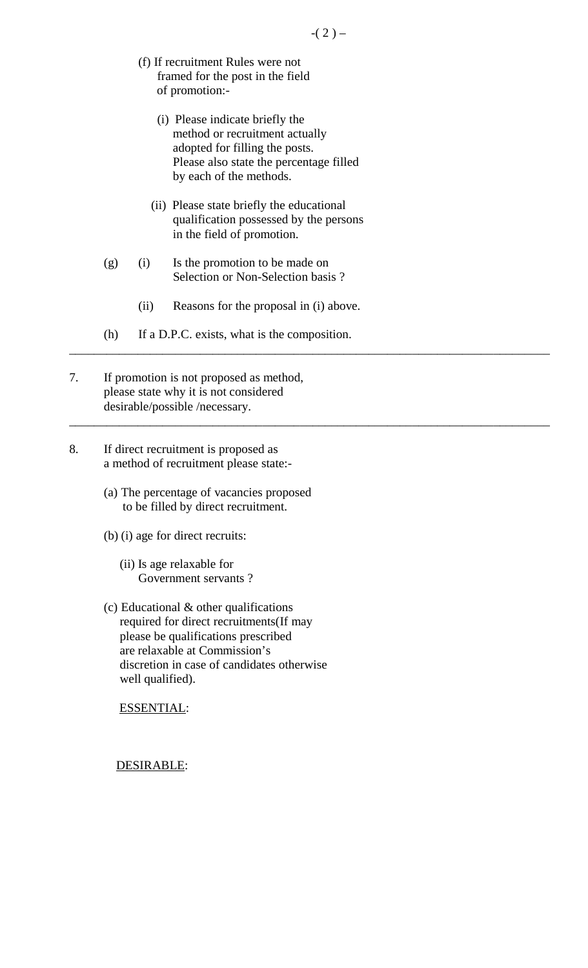- (f) If recruitment Rules were not framed for the post in the field of promotion:-
	- (i) Please indicate briefly the method or recruitment actually adopted for filling the posts. Please also state the percentage filled by each of the methods.
	- (ii) Please state briefly the educational qualification possessed by the persons in the field of promotion.
- (g) (i) Is the promotion to be made on Selection or Non-Selection basis ?
	- (ii) Reasons for the proposal in (i) above.

\_\_\_\_\_\_\_\_\_\_\_\_\_\_\_\_\_\_\_\_\_\_\_\_\_\_\_\_\_\_\_\_\_\_\_\_\_\_\_\_\_\_\_\_\_\_\_\_\_\_\_\_\_\_\_\_\_\_\_\_\_\_\_\_\_\_\_\_\_\_\_\_\_\_\_\_\_

\_\_\_\_\_\_\_\_\_\_\_\_\_\_\_\_\_\_\_\_\_\_\_\_\_\_\_\_\_\_\_\_\_\_\_\_\_\_\_\_\_\_\_\_\_\_\_\_\_\_\_\_\_\_\_\_\_\_\_\_\_\_\_\_\_\_\_\_\_\_\_\_\_\_\_\_\_

- (h) If a D.P.C. exists, what is the composition.
- 7. If promotion is not proposed as method, please state why it is not considered desirable/possible /necessary.
- 8. If direct recruitment is proposed as a method of recruitment please state:-
	- (a) The percentage of vacancies proposed to be filled by direct recruitment.
	- (b) (i) age for direct recruits:
		- (ii) Is age relaxable for Government servants ?
	- (c) Educational & other qualifications required for direct recruitments(If may please be qualifications prescribed are relaxable at Commission's discretion in case of candidates otherwise well qualified).

ESSENTIAL:

DESIRABLE: